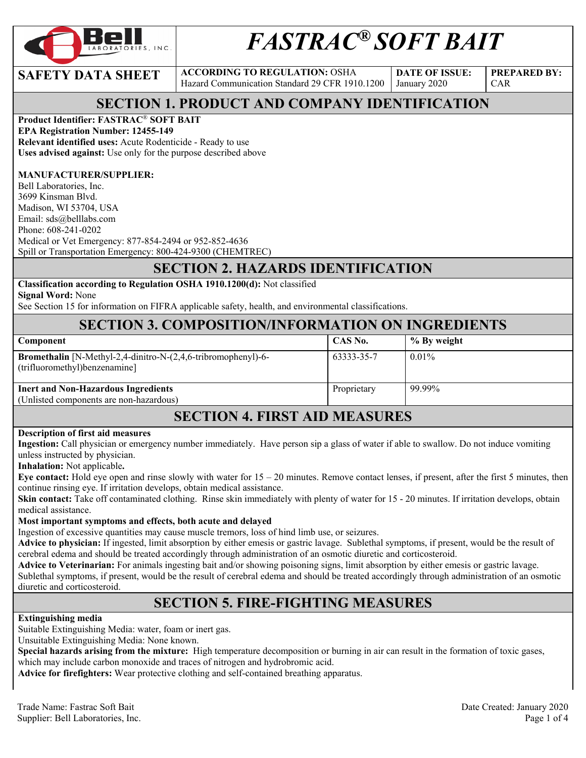

# *FASTRAC® SOFT BAIT*

**SAFETY DATA SHEET** ACCORDING TO REGULATION: OSHA Hazard Communication Standard 29 CFR 1910.1200

**DATE OF ISSUE:**  January 2020

**PREPARED BY:**  CAR

#### **SECTION 1. PRODUCT AND COMPANY IDENTIFICATION**

#### **Product Identifier: FASTRAC**® **SOFT BAIT**

**EPA Registration Number: 12455-149 Relevant identified uses:** Acute Rodenticide - Ready to use **Uses advised against:** Use only for the purpose described above

#### **MANUFACTURER/SUPPLIER:**

Bell Laboratories, Inc. 3699 Kinsman Blvd. Madison, WI 53704, USA Email: sds@belllabs.com Phone: 608-241-0202 Medical or Vet Emergency: 877-854-2494 or 952-852-4636 Spill or Transportation Emergency: 800-424-9300 (CHEMTREC)

#### **SECTION 2. HAZARDS IDENTIFICATION**

#### **Classification according to Regulation OSHA 1910.1200(d):** Not classified

**Signal Word:** None

See Section 15 for information on FIFRA applicable safety, health, and environmental classifications.

#### **SECTION 3. COMPOSITION/INFORMATION ON INGREDIENTS**

| Component                                                                                             | CAS No.     | % By weight |
|-------------------------------------------------------------------------------------------------------|-------------|-------------|
| <b>Bromethalin</b> [N-Methyl-2,4-dinitro-N-(2,4,6-tribromophenyl)-6-<br>(trifluoromethyl)benzenamine] | 63333-35-7  | $0.01\%$    |
| <b>Inert and Non-Hazardous Ingredients</b><br>(Unlisted components are non-hazardous)                 | Proprietary | 99.99%      |
|                                                                                                       |             |             |

#### **SECTION 4. FIRST AID MEASURES**

#### **Description of first aid measures**

**Ingestion:** Call physician or emergency number immediately. Have person sip a glass of water if able to swallow. Do not induce vomiting unless instructed by physician.

**Inhalation:** Not applicable**.** 

**Eye contact:** Hold eye open and rinse slowly with water for  $15 - 20$  minutes. Remove contact lenses, if present, after the first 5 minutes, then continue rinsing eye. If irritation develops, obtain medical assistance.

**Skin contact:** Take off contaminated clothing. Rinse skin immediately with plenty of water for 15 - 20 minutes. If irritation develops, obtain medical assistance.

#### **Most important symptoms and effects, both acute and delayed**

Ingestion of excessive quantities may cause muscle tremors, loss of hind limb use, or seizures.

**Advice to physician:** If ingested, limit absorption by either emesis or gastric lavage. Sublethal symptoms, if present, would be the result of cerebral edema and should be treated accordingly through administration of an osmotic diuretic and corticosteroid.

**Advice to Veterinarian:** For animals ingesting bait and/or showing poisoning signs, limit absorption by either emesis or gastric lavage. Sublethal symptoms, if present, would be the result of cerebral edema and should be treated accordingly through administration of an osmotic diuretic and corticosteroid.

# **SECTION 5. FIRE-FIGHTING MEASURES**

#### **Extinguishing media**

Suitable Extinguishing Media: water, foam or inert gas.

Unsuitable Extinguishing Media: None known.

**Special hazards arising from the mixture:** High temperature decomposition or burning in air can result in the formation of toxic gases, which may include carbon monoxide and traces of nitrogen and hydrobromic acid.

**Advice for firefighters:** Wear protective clothing and self-contained breathing apparatus.

Trade Name: Fastrac Soft Bait Date Created: January 2020 Supplier: Bell Laboratories, Inc. Page 1 of 4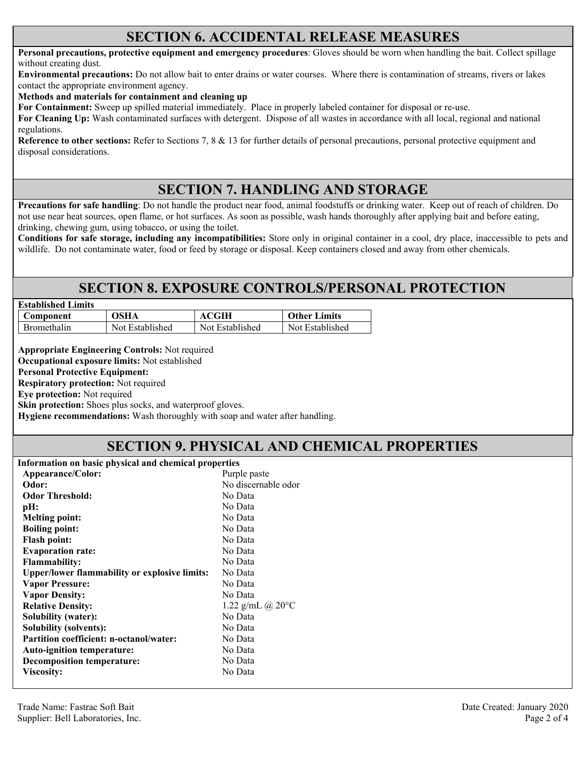#### **SECTION 6. ACCIDENTAL RELEASE MEASURES**

**Personal precautions, protective equipment and emergency procedures**: Gloves should be worn when handling the bait. Collect spillage without creating dust.

**Environmental precautions:** Do not allow bait to enter drains or water courses. Where there is contamination of streams, rivers or lakes contact the appropriate environment agency.

**Methods and materials for containment and cleaning up**

**For Containment:** Sweep up spilled material immediately. Place in properly labeled container for disposal or re-use.

**For Cleaning Up:** Wash contaminated surfaces with detergent. Dispose of all wastes in accordance with all local, regional and national regulations.

**Reference to other sections:** Refer to Sections 7, 8 & 13 for further details of personal precautions, personal protective equipment and disposal considerations.

#### **SECTION 7. HANDLING AND STORAGE**

**Precautions for safe handling**: Do not handle the product near food, animal foodstuffs or drinking water. Keep out of reach of children. Do not use near heat sources, open flame, or hot surfaces. As soon as possible, wash hands thoroughly after applying bait and before eating, drinking, chewing gum, using tobacco, or using the toilet.

**Conditions for safe storage, including any incompatibilities:** Store only in original container in a cool, dry place, inaccessible to pets and wildlife. Do not contaminate water, food or feed by storage or disposal. Keep containers closed and away from other chemicals.

#### **SECTION 8. EXPOSURE CONTROLS/PERSONAL PROTECTION**

| <b>Established Limits</b> |                 |                 |                     |  |
|---------------------------|-----------------|-----------------|---------------------|--|
| Component                 | OSHA            | <b>ACGIH</b>    | <b>Other Limits</b> |  |
| <b>Bromethalin</b>        | Not Established | Not Established | Not Established     |  |

**Appropriate Engineering Controls:** Not required

**Occupational exposure limits:** Not established

**Personal Protective Equipment:** 

**Respiratory protection:** Not required

**Eye protection:** Not required

**Skin protection:** Shoes plus socks, and waterproof gloves.

**Hygiene recommendations:** Wash thoroughly with soap and water after handling.

# **SECTION 9. PHYSICAL AND CHEMICAL PROPERTIES**

**Information on basic physical and chemical properties** 

| Appearance/Color:                                    | Purple paste               |
|------------------------------------------------------|----------------------------|
| Odor:                                                | No discernable odor        |
| <b>Odor Threshold:</b>                               | No Data                    |
| pH:                                                  | No Data                    |
| <b>Melting point:</b>                                | No Data                    |
| <b>Boiling point:</b>                                | No Data                    |
| <b>Flash point:</b>                                  | No Data                    |
| <b>Evaporation rate:</b>                             | No Data                    |
| <b>Flammability:</b>                                 | No Data                    |
| <b>Upper/lower flammability or explosive limits:</b> | No Data                    |
| <b>Vapor Pressure:</b>                               | No Data                    |
| <b>Vapor Density:</b>                                | No Data                    |
| <b>Relative Density:</b>                             | 1.22 g/mL @ $20^{\circ}$ C |
| <b>Solubility (water):</b>                           | No Data                    |
| <b>Solubility (solvents):</b>                        | No Data                    |
| <b>Partition coefficient: n-octanol/water:</b>       | No Data                    |
| <b>Auto-ignition temperature:</b>                    | No Data                    |
| <b>Decomposition temperature:</b>                    | No Data                    |
| <b>Viscosity:</b>                                    | No Data                    |
|                                                      |                            |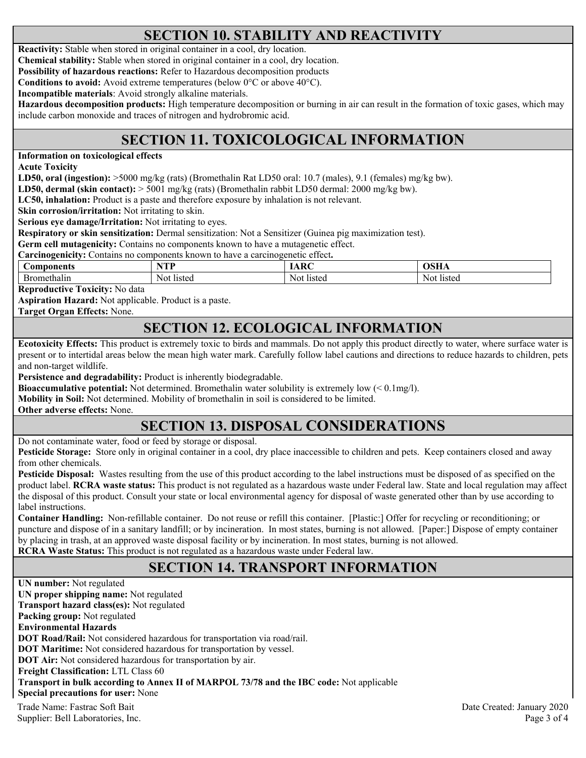# **SECTION 10. STABILITY AND REACTIVITY**

**Reactivity:** Stable when stored in original container in a cool, dry location.

**Chemical stability:** Stable when stored in original container in a cool, dry location.

**Possibility of hazardous reactions:** Refer to Hazardous decomposition products

**Conditions to avoid:** Avoid extreme temperatures (below 0°C or above 40°C).

**Incompatible materials**: Avoid strongly alkaline materials.

**Hazardous decomposition products:** High temperature decomposition or burning in air can result in the formation of toxic gases, which may include carbon monoxide and traces of nitrogen and hydrobromic acid.

# **SECTION 11. TOXICOLOGICAL INFORMATION**

**Information on toxicological effects** 

**Acute Toxicity** 

**LD50, oral (ingestion):** >5000 mg/kg (rats) (Bromethalin Rat LD50 oral: 10.7 (males), 9.1 (females) mg/kg bw).

**LD50, dermal (skin contact):** > 5001 mg/kg (rats) (Bromethalin rabbit LD50 dermal: 2000 mg/kg bw).

**LC50, inhalation:** Product is a paste and therefore exposure by inhalation is not relevant.

**Skin corrosion/irritation:** Not irritating to skin.

**Serious eye damage/Irritation:** Not irritating to eyes.

**Respiratory or skin sensitization:** Dermal sensitization: Not a Sensitizer (Guinea pig maximization test).

**Germ cell mutagenicity:** Contains no components known to have a mutagenetic effect.

**Carcinogenicity:** Contains no components known to have a carcinogenetic effect**.** 

| nonents<br>.on | VTD<br>-- | $\overline{\phantom{a}}$ |        |
|----------------|-----------|--------------------------|--------|
| ethalin        | listed    | Not.                     | listeg |
|                | Not       | $1$ steg                 | - Not  |

**Reproductive Toxicity:** No data

**Aspiration Hazard:** Not applicable. Product is a paste.

**Target Organ Effects:** None.

#### **SECTION 12. ECOLOGICAL INFORMATION**

**Ecotoxicity Effects:** This product is extremely toxic to birds and mammals. Do not apply this product directly to water, where surface water is present or to intertidal areas below the mean high water mark. Carefully follow label cautions and directions to reduce hazards to children, pets and non-target wildlife.

**Persistence and degradability:** Product is inherently biodegradable.

**Bioaccumulative potential:** Not determined. Bromethalin water solubility is extremely low (< 0.1mg/l).

**Mobility in Soil:** Not determined. Mobility of bromethalin in soil is considered to be limited.

**Other adverse effects:** None.

# **SECTION 13. DISPOSAL CONSIDERATIONS**

Do not contaminate water, food or feed by storage or disposal.

**Pesticide Storage:** Store only in original container in a cool, dry place inaccessible to children and pets. Keep containers closed and away from other chemicals.

**Pesticide Disposal:** Wastes resulting from the use of this product according to the label instructions must be disposed of as specified on the product label. **RCRA waste status:** This product is not regulated as a hazardous waste under Federal law. State and local regulation may affect the disposal of this product. Consult your state or local environmental agency for disposal of waste generated other than by use according to label instructions.

**Container Handling:** Non-refillable container. Do not reuse or refill this container. [Plastic:] Offer for recycling or reconditioning; or puncture and dispose of in a sanitary landfill; or by incineration. In most states, burning is not allowed. [Paper:] Dispose of empty container by placing in trash, at an approved waste disposal facility or by incineration. In most states, burning is not allowed. **RCRA Waste Status:** This product is not regulated as a hazardous waste under Federal law.

# **SECTION 14. TRANSPORT INFORMATION**

Trade Name: Fastrac Soft Bait Date Created: January 2020 Supplier: Bell Laboratories, Inc. 2008 and 2008 and 2008 and 2008 and 2008 and 2008 and 2008 and 2008 and 2008 and 2008 and 2008 and 2008 and 2008 and 2008 and 2008 and 2008 and 2008 and 2008 and 2008 and 2008 and 2008 and **UN number:** Not regulated **UN proper shipping name:** Not regulated **Transport hazard class(es):** Not regulated **Packing group:** Not regulated **Environmental Hazards DOT Road/Rail:** Not considered hazardous for transportation via road/rail. **DOT Maritime:** Not considered hazardous for transportation by vessel. **DOT Air:** Not considered hazardous for transportation by air. **Freight Classification:** LTL Class 60 **Transport in bulk according to Annex II of MARPOL 73/78 and the IBC code:** Not applicable **Special precautions for user:** None